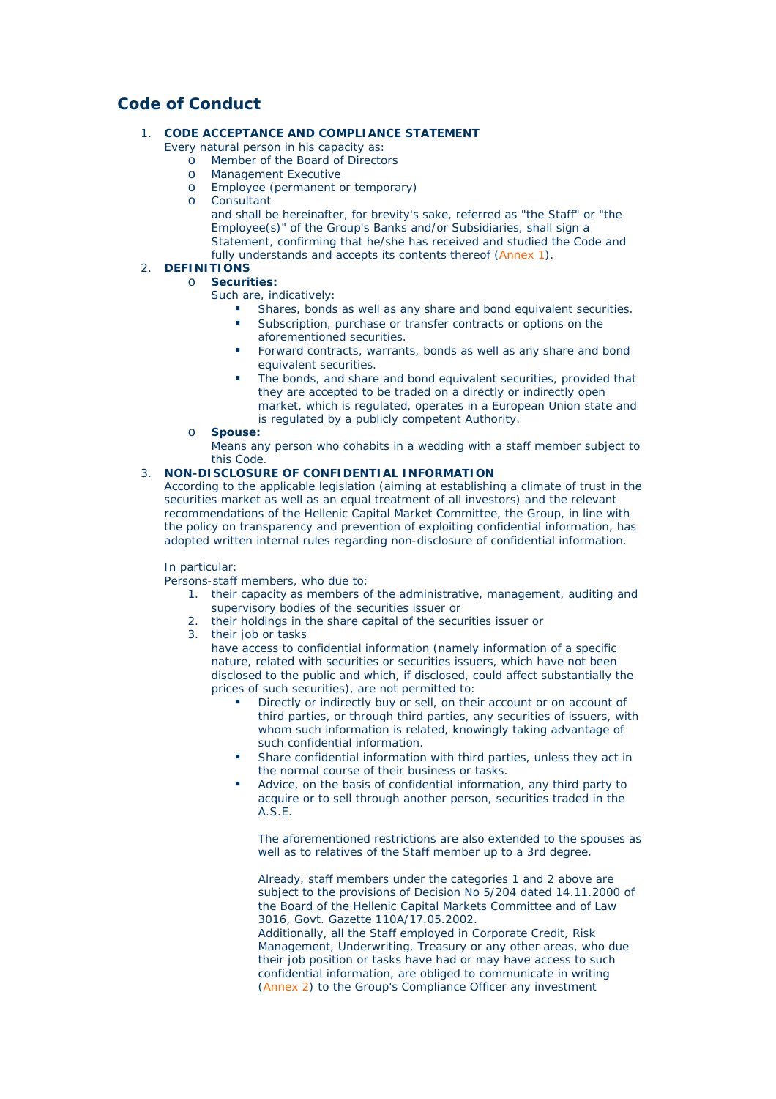# **Code of Conduct**

## 1. **CODE ACCEPTANCE AND COMPLIANCE STATEMENT**

- Every natural person in his capacity as:
	- o Member of the Board of Directors
	- o Management Executive
	- o Employee (permanent or temporary)
	- o Consultant

and shall be hereinafter, for brevity's sake, referred as "the Staff" or "the Employee(s)" of the Group's Banks and/or Subsidiaries, shall sign a Statement, confirming that he/she has received and studied the Code and fully understands and accepts its contents thereof (Annex 1).

## 2. **DEFINITIONS**

#### o **Securities:**

Such are, indicatively:

- Shares, bonds as well as any share and bond equivalent securities.
- Subscription, purchase or transfer contracts or options on the aforementioned securities.
- Forward contracts, warrants, bonds as well as any share and bond equivalent securities.
- The bonds, and share and bond equivalent securities, provided that they are accepted to be traded on a directly or indirectly open market, which is regulated, operates in a European Union state and is regulated by a publicly competent Authority.
- o **Spouse:**

Means any person who cohabits in a wedding with a staff member subject to this Code.

### 3. **NON-DISCLOSURE OF CONFIDENTIAL INFORMATION**

According to the applicable legislation (aiming at establishing a climate of trust in the securities market as well as an equal treatment of all investors) and the relevant recommendations of the Hellenic Capital Market Committee, the Group, in line with the policy on transparency and prevention of exploiting confidential information, has adopted written internal rules regarding non-disclosure of confidential information.

### In particular:

Persons-staff members, who due to:

- 1. their capacity as members of the administrative, management, auditing and supervisory bodies of the securities issuer or
- 2. their holdings in the share capital of the securities issuer or
- 3. their job or tasks

have access to confidential information (namely information of a specific nature, related with securities or securities issuers, which have not been disclosed to the public and which, if disclosed, could affect substantially the prices of such securities), are not permitted to:

- Directly or indirectly buy or sell, on their account or on account of third parties, or through third parties, any securities of issuers, with whom such information is related, knowingly taking advantage of such confidential information.
- Share confidential information with third parties, unless they act in the normal course of their business or tasks.
- Advice, on the basis of confidential information, any third party to acquire or to sell through another person, securities traded in the A.S.E.

The aforementioned restrictions are also extended to the spouses as well as to relatives of the Staff member up to a 3rd degree.

Already, staff members under the categories 1 and 2 above are subject to the provisions of Decision No 5/204 dated 14.11.2000 of the Board of the Hellenic Capital Markets Committee and of Law 3016, Govt. Gazette 110A/17.05.2002.

Additionally, all the Staff employed in Corporate Credit, Risk Management, Underwriting, Treasury or any other areas, who due their job position or tasks have had or may have access to such confidential information, are obliged to communicate in writing (Annex 2) to the Group's Compliance Officer any investment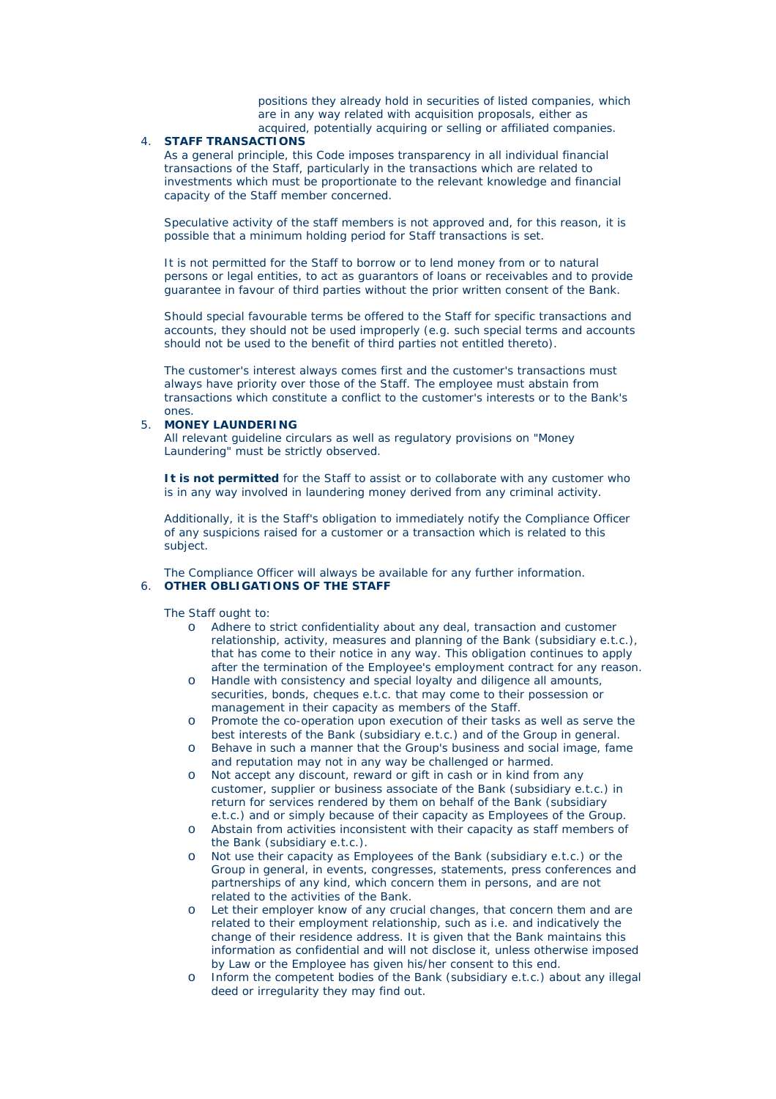positions they already hold in securities of listed companies, which are in any way related with acquisition proposals, either as acquired, potentially acquiring or selling or affiliated companies.

#### 4. **STAFF TRANSACTIONS**

As a general principle, this Code imposes transparency in all individual financial transactions of the Staff, particularly in the transactions which are related to investments which must be proportionate to the relevant knowledge and financial capacity of the Staff member concerned.

Speculative activity of the staff members is not approved and, for this reason, it is possible that a minimum holding period for Staff transactions is set.

It is not permitted for the Staff to borrow or to lend money from or to natural persons or legal entities, to act as guarantors of loans or receivables and to provide guarantee in favour of third parties without the prior written consent of the Bank.

Should special favourable terms be offered to the Staff for specific transactions and accounts, they should not be used improperly (e.g. such special terms and accounts should not be used to the benefit of third parties not entitled thereto).

The customer's interest always comes first and the customer's transactions must always have priority over those of the Staff. The employee must abstain from transactions which constitute a conflict to the customer's interests or to the Bank's ones.

#### 5. **MONEY LAUNDERING**

All relevant guideline circulars as well as regulatory provisions on "Money Laundering" must be strictly observed.

**It is not permitted** for the Staff to assist or to collaborate with any customer who is in any way involved in laundering money derived from any criminal activity.

Additionally, it is the Staff's obligation to immediately notify the Compliance Officer of any suspicions raised for a customer or a transaction which is related to this subject.

The Compliance Officer will always be available for any further information. 6. **OTHER OBLIGATIONS OF THE STAFF**

The Staff ought to:

- o Adhere to strict confidentiality about any deal, transaction and customer relationship, activity, measures and planning of the Bank (subsidiary e.t.c.), that has come to their notice in any way. This obligation continues to apply after the termination of the Employee's employment contract for any reason.
- o Handle with consistency and special loyalty and diligence all amounts, securities, bonds, cheques e.t.c. that may come to their possession or management in their capacity as members of the Staff.
- o Promote the co-operation upon execution of their tasks as well as serve the best interests of the Bank (subsidiary e.t.c.) and of the Group in general.
- o Behave in such a manner that the Group's business and social image, fame and reputation may not in any way be challenged or harmed.
- o Not accept any discount, reward or gift in cash or in kind from any customer, supplier or business associate of the Bank (subsidiary e.t.c.) in return for services rendered by them on behalf of the Bank (subsidiary e.t.c.) and or simply because of their capacity as Employees of the Group.
- o Abstain from activities inconsistent with their capacity as staff members of the Bank (subsidiary e.t.c.).
- o Not use their capacity as Employees of the Bank (subsidiary e.t.c.) or the Group in general, in events, congresses, statements, press conferences and partnerships of any kind, which concern them in persons, and are not related to the activities of the Bank.
- o Let their employer know of any crucial changes, that concern them and are related to their employment relationship, such as i.e. and indicatively the change of their residence address. It is given that the Bank maintains this information as confidential and will not disclose it, unless otherwise imposed by Law or the Employee has given his/her consent to this end.
- o Inform the competent bodies of the Bank (subsidiary e.t.c.) about any illegal deed or irregularity they may find out.